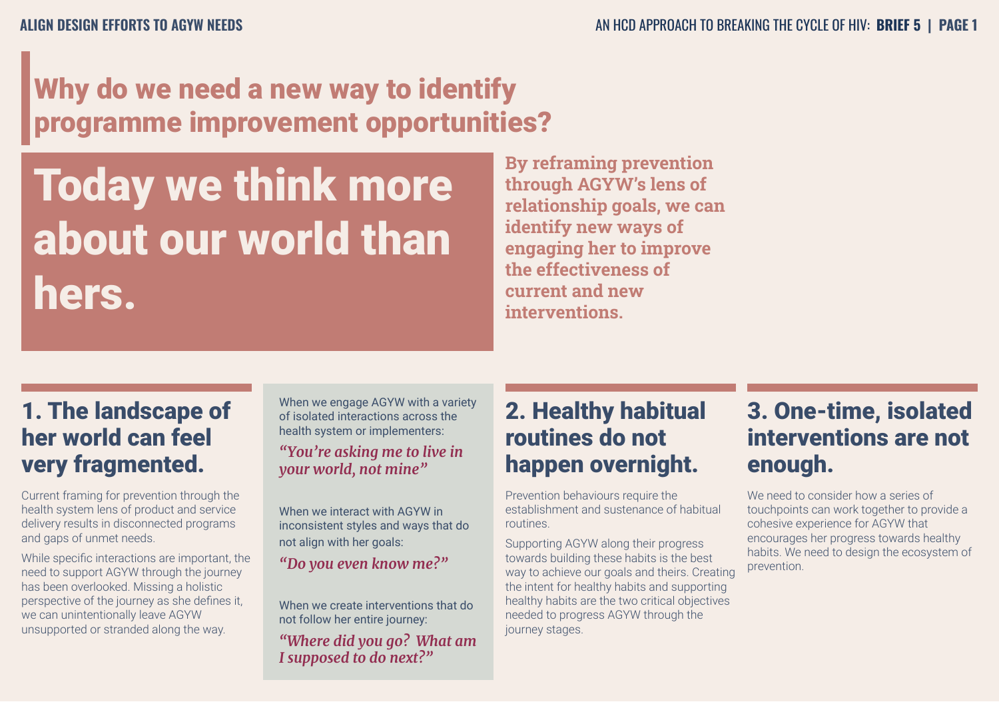# Why do we need a new way to identify programme improvement opportunities?

Today we think more about our world than hers.

**By reframing prevention through AGYW's lens of relationship goals, we can identify new ways of engaging her to improve the effectiveness of current and new interventions.**

### 1. The landscape of her world can feel very fragmented.

Current framing for prevention through the health system lens of product and service delivery results in disconnected programs and gaps of unmet needs.

While specific interactions are important, the need to support AGYW through the journey has been overlooked. Missing a holistic perspective of the journey as she defines it, we can unintentionally leave AGYW unsupported or stranded along the way.

When we engage AGYW with a variety of isolated interactions across the health system or implementers:

#### *"You're asking me to live in your world, not mine"*

When we interact with AGYW in inconsistent styles and ways that do not align with her goals:

*"Do you even know me?"*

When we create interventions that do not follow her entire journey:

*"Where did you go? What am I supposed to do next?"*

## 2. Healthy habitual routines do not happen overnight.

Prevention behaviours require the establishment and sustenance of habitual routines.

Supporting AGYW along their progress towards building these habits is the best way to achieve our goals and theirs. Creating the intent for healthy habits and supporting healthy habits are the two critical objectives needed to progress AGYW through the journey stages.

### 3. One-time, isolated interventions are not enough.

We need to consider how a series of touchpoints can work together to provide a cohesive experience for AGYW that encourages her progress towards healthy habits. We need to design the ecosystem of prevention.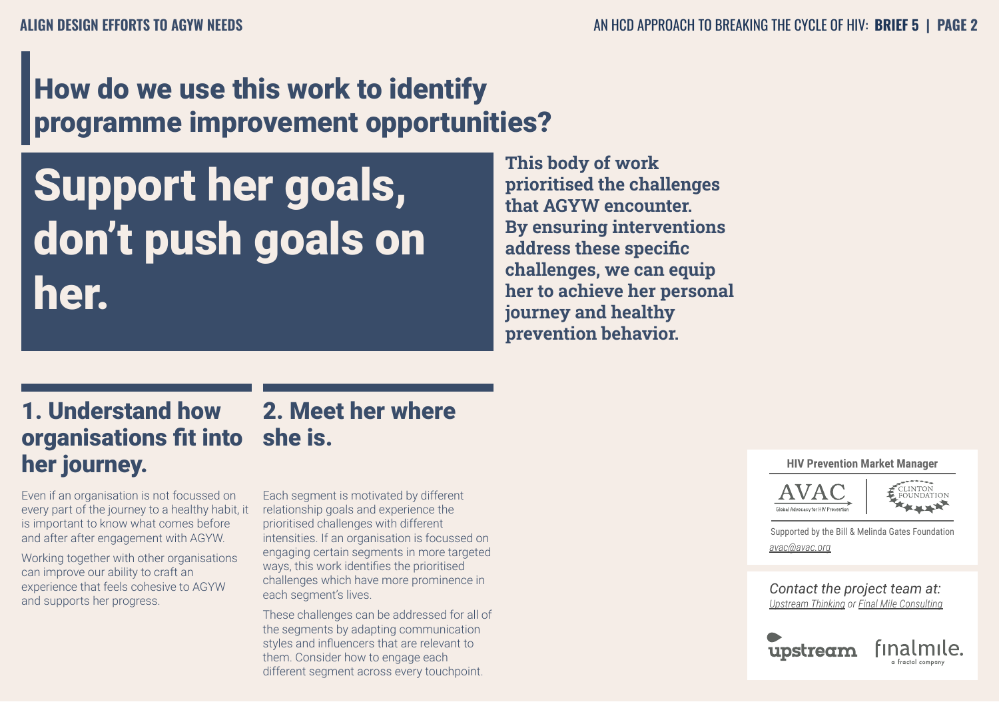# How do we use this work to identify programme improvement opportunities?

# Support her goals, don't push goals on her.

**This body of work prioritised the challenges that AGYW encounter. By ensuring interventions address these specific challenges, we can equip her to achieve her personal journey and healthy prevention behavior.**

#### 1. Understand how organisations fit into her journey. 2. Meet her where she is.

Even if an organisation is not focussed on every part of the journey to a healthy habit, it is important to know what comes before and after after engagement with AGYW.

Working together with other organisations can improve our ability to craft an experience that feels cohesive to AGYW and supports her progress.

# Each segment is motivated by different relationship goals and experience the

prioritised challenges with different intensities. If an organisation is focussed on engaging certain segments in more targeted ways, this work identifies the prioritised challenges which have more prominence in each segment's lives.

These challenges can be addressed for all of the segments by adapting communication styles and influencers that are relevant to them. Consider how to engage each different segment across every touchpoint.

#### **HIV Prevention Market Manager**



Supported by the Bill & Melinda Gates Foundation *avac@avac.org*

*Contact the project team at: Upstream Thinking or Final Mile Consulting*